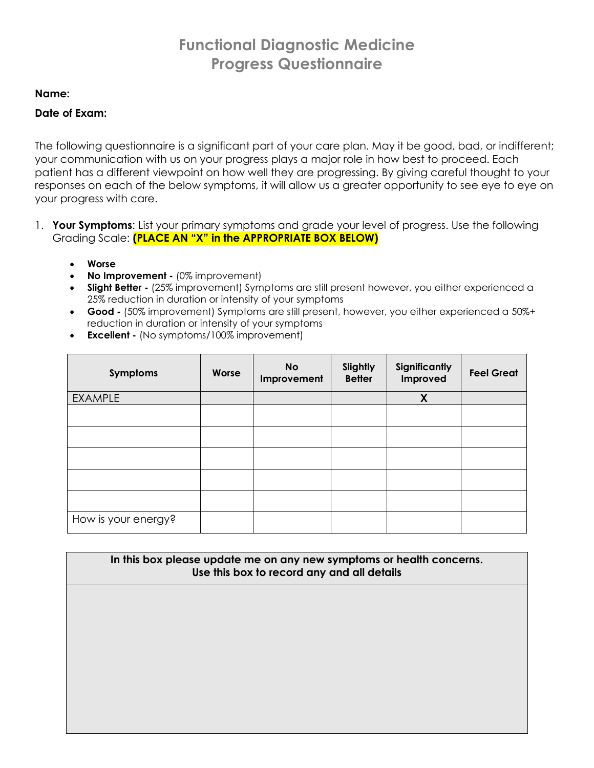# **Functional Diagnostic Medicine Progress Questionnaire**

#### **Name:**

#### **Date of Exam:**

The following questionnaire is a significant part of your care plan. May it be good, bad, or indifferent; your communication with us on your progress plays a major role in how best to proceed. Each patient has a different viewpoint on how well they are progressing. By giving careful thought to your responses on each of the below symptoms, it will allow us a greater opportunity to see eye to eye on your progress with care.

- 1. **Your Symptoms**: List your primary symptoms and grade your level of progress. Use the following Grading Scale: **(PLACE AN "X" in the APPROPRIATE BOX BELOW)**
	- **Worse**
	- **No Improvement -** (0% improvement)
	- **Slight Better -** (25% improvement) Symptoms are still present however, you either experienced a 25% reduction in duration or intensity of your symptoms
	- **Good -** (50% improvement) Symptoms are still present, however, you either experienced a 50%+ reduction in duration or intensity of your symptoms
	- **Excellent -** (No symptoms/100% improvement)

| Symptoms            | Worse | <b>No</b><br>Improvement | Slightly<br><b>Better</b> | Significantly<br>Improved | <b>Feel Great</b> |
|---------------------|-------|--------------------------|---------------------------|---------------------------|-------------------|
| <b>EXAMPLE</b>      |       |                          |                           | X                         |                   |
|                     |       |                          |                           |                           |                   |
|                     |       |                          |                           |                           |                   |
|                     |       |                          |                           |                           |                   |
|                     |       |                          |                           |                           |                   |
|                     |       |                          |                           |                           |                   |
| How is your energy? |       |                          |                           |                           |                   |

**In this box please update me on any new symptoms or health concerns. Use this box to record any and all details**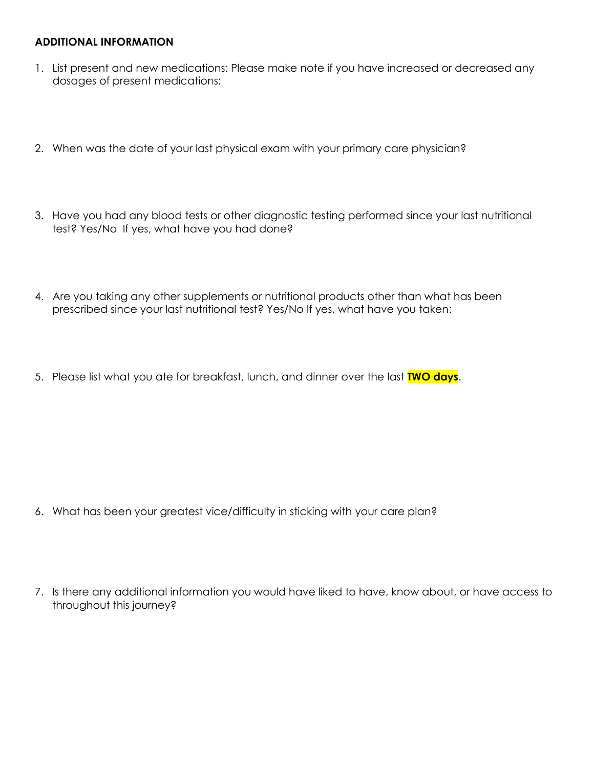#### **ADDITIONAL INFORMATION**

- 1. List present and new medications: Please make note if you have increased or decreased any dosages of present medications:
- 2. When was the date of your last physical exam with your primary care physician?
- 3. Have you had any blood tests or other diagnostic testing performed since your last nutritional test? Yes/No If yes, what have you had done?
- 4. Are you taking any other supplements or nutritional products other than what has been prescribed since your last nutritional test? Yes/No If yes, what have you taken:
- 5. Please list what you ate for breakfast, lunch, and dinner over the last **TWO days**.

- 6. What has been your greatest vice/difficulty in sticking with your care plan?
- 7. Is there any additional information you would have liked to have, know about, or have access to throughout this journey?